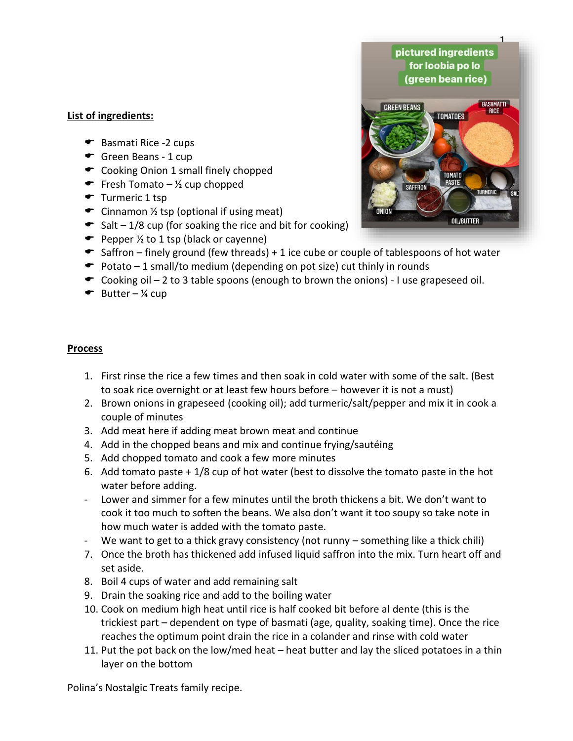## **List of ingredients:**

- ← Basmati Rice -2 cups
- Green Beans 1 cup
- Cooking Onion 1 small finely chopped
- Fresh Tomato  $\frac{1}{2}$  cup chopped
- $\bullet$  Turmeric 1 tsp
- $\bullet$  Cinnamon  $\frac{1}{2}$  tsp (optional if using meat)
- $\bullet$  Salt 1/8 cup (for soaking the rice and bit for cooking)
- $\bullet$  Pepper  $\frac{1}{2}$  to 1 tsp (black or cayenne)
- $\bullet$  Saffron finely ground (few threads) + 1 ice cube or couple of tablespoons of hot water
- $\bullet$  Potato 1 small/to medium (depending on pot size) cut thinly in rounds
- $\bullet$  Cooking oil 2 to 3 table spoons (enough to brown the onions) I use grapeseed oil.
- $\bullet$  Butter ¼ cup

## **Process**

- 1. First rinse the rice a few times and then soak in cold water with some of the salt. (Best to soak rice overnight or at least few hours before – however it is not a must)
- 2. Brown onions in grapeseed (cooking oil); add turmeric/salt/pepper and mix it in cook a couple of minutes
- 3. Add meat here if adding meat brown meat and continue
- 4. Add in the chopped beans and mix and continue frying/sautéing
- 5. Add chopped tomato and cook a few more minutes
- 6. Add tomato paste + 1/8 cup of hot water (best to dissolve the tomato paste in the hot water before adding.
- Lower and simmer for a few minutes until the broth thickens a bit. We don't want to cook it too much to soften the beans. We also don't want it too soupy so take note in how much water is added with the tomato paste.
- We want to get to a thick gravy consistency (not runny something like a thick chili)
- 7. Once the broth has thickened add infused liquid saffron into the mix. Turn heart off and set aside.
- 8. Boil 4 cups of water and add remaining salt
- 9. Drain the soaking rice and add to the boiling water
- 10. Cook on medium high heat until rice is half cooked bit before al dente (this is the trickiest part – dependent on type of basmati (age, quality, soaking time). Once the rice reaches the optimum point drain the rice in a colander and rinse with cold water
- 11. Put the pot back on the low/med heat heat butter and lay the sliced potatoes in a thin layer on the bottom

Polina's Nostalgic Treats family recipe.

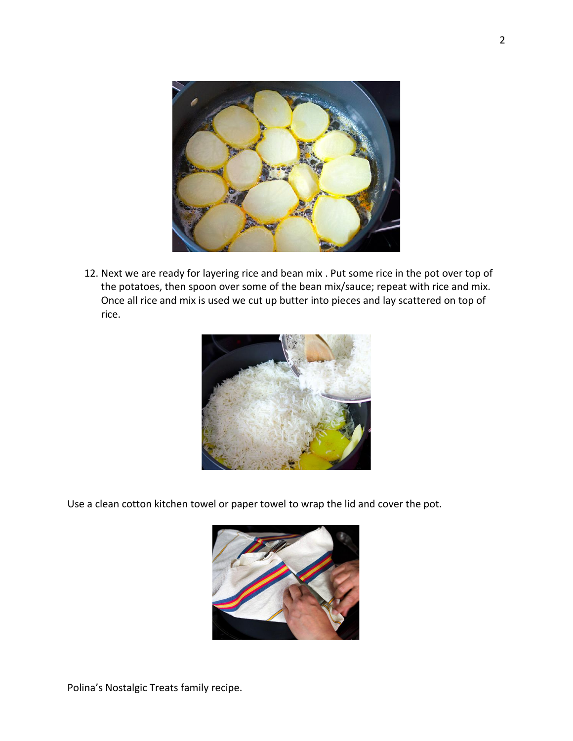

12. Next we are ready for layering rice and bean mix . Put some rice in the pot over top of the potatoes, then spoon over some of the bean mix/sauce; repeat with rice and mix. Once all rice and mix is used we cut up butter into pieces and lay scattered on top of rice.



Use a clean cotton kitchen towel or paper towel to wrap the lid and cover the pot.



Polina's Nostalgic Treats family recipe.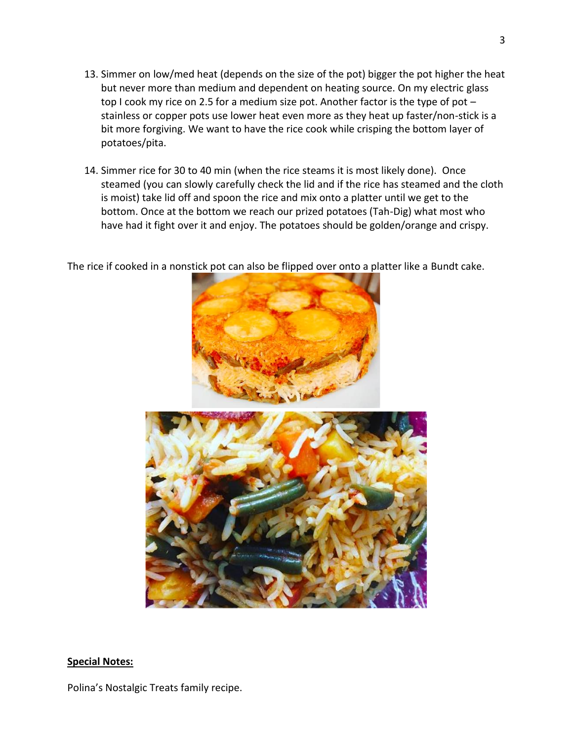- 13. Simmer on low/med heat (depends on the size of the pot) bigger the pot higher the heat but never more than medium and dependent on heating source. On my electric glass top I cook my rice on 2.5 for a medium size pot. Another factor is the type of pot – stainless or copper pots use lower heat even more as they heat up faster/non-stick is a bit more forgiving. We want to have the rice cook while crisping the bottom layer of potatoes/pita.
- 14. Simmer rice for 30 to 40 min (when the rice steams it is most likely done). Once steamed (you can slowly carefully check the lid and if the rice has steamed and the cloth is moist) take lid off and spoon the rice and mix onto a platter until we get to the bottom. Once at the bottom we reach our prized potatoes (Tah-Dig) what most who have had it fight over it and enjoy. The potatoes should be golden/orange and crispy.

The rice if cooked in a nonstick pot can also be flipped over onto a platter like a Bundt cake.



## **Special Notes:**

Polina's Nostalgic Treats family recipe.